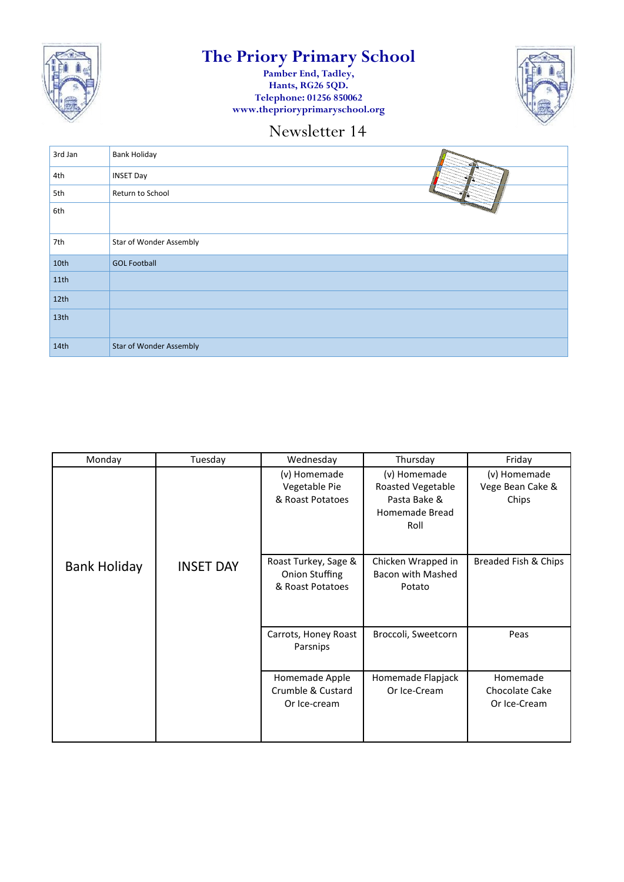

# **The Priory Primary School**

**Pamber End, Tadley, Hants, RG26 5QD. Telephone: 01256 850062 www.theprioryprimaryschool.org**



## Newsletter 14

| 3rd Jan          | <b>Bank Holiday</b><br>$\cdot$ |
|------------------|--------------------------------|
| 4th              | <b>INSET Day</b><br>47         |
| 5th              | Return to School<br>w.         |
| 6th              |                                |
| 7th              | Star of Wonder Assembly        |
| 10th             | <b>GOL Football</b>            |
| 11th             |                                |
| 12 <sup>th</sup> |                                |
| 13 <sub>th</sub> |                                |
| 14th             | <b>Star of Wonder Assembly</b> |

| Monday              | Tuesday          | Wednesday                                                  | Thursday                                                                    | Friday                                     |
|---------------------|------------------|------------------------------------------------------------|-----------------------------------------------------------------------------|--------------------------------------------|
|                     |                  | (v) Homemade<br>Vegetable Pie<br>& Roast Potatoes          | (v) Homemade<br>Roasted Vegetable<br>Pasta Bake &<br>Homemade Bread<br>Roll | (v) Homemade<br>Vege Bean Cake &<br>Chips  |
| <b>Bank Holiday</b> | <b>INSET DAY</b> | Roast Turkey, Sage &<br>Onion Stuffing<br>& Roast Potatoes | Chicken Wrapped in<br><b>Bacon with Mashed</b><br>Potato                    | Breaded Fish & Chips                       |
|                     |                  | Carrots, Honey Roast<br>Parsnips                           | Broccoli, Sweetcorn                                                         | Peas                                       |
|                     |                  | Homemade Apple<br>Crumble & Custard<br>Or Ice-cream        | Homemade Flapjack<br>Or Ice-Cream                                           | Homemade<br>Chocolate Cake<br>Or Ice-Cream |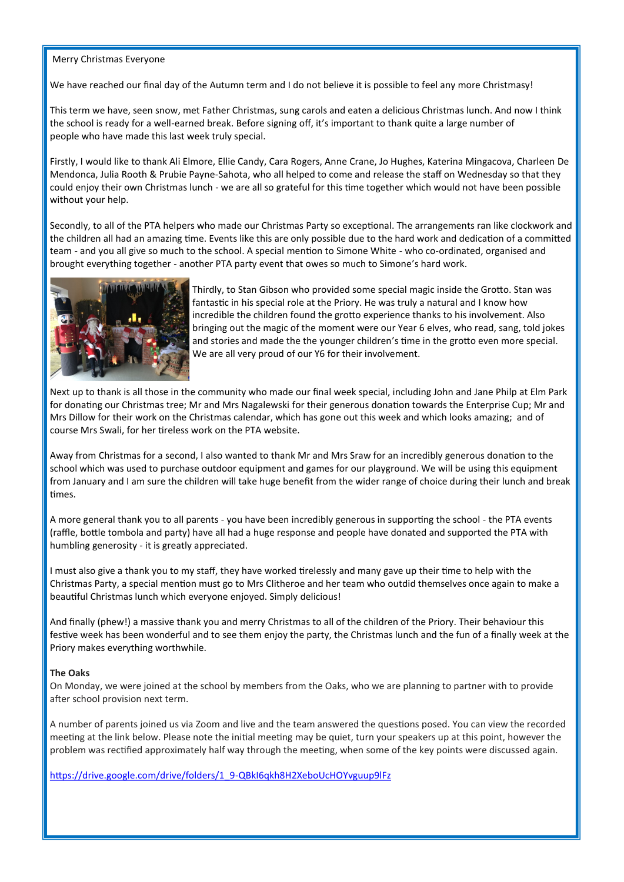#### Merry Christmas Everyone

We have reached our final day of the Autumn term and I do not believe it is possible to feel any more Christmasy!

This term we have, seen snow, met Father Christmas, sung carols and eaten a delicious Christmas lunch. And now I think the school is ready for a well-earned break. Before signing off, it's important to thank quite a large number of people who have made this last week truly special.

Firstly, I would like to thank Ali Elmore, Ellie Candy, Cara Rogers, Anne Crane, Jo Hughes, Katerina Mingacova, Charleen De Mendonca, Julia Rooth & Prubie Payne-Sahota, who all helped to come and release the staff on Wednesday so that they could enjoy their own Christmas lunch - we are all so grateful for this time together which would not have been possible without your help.

Secondly, to all of the PTA helpers who made our Christmas Party so exceptional. The arrangements ran like clockwork and the children all had an amazing time. Events like this are only possible due to the hard work and dedication of a committed team - and you all give so much to the school. A special mention to Simone White - who co-ordinated, organised and brought everything together - another PTA party event that owes so much to Simone's hard work.



Thirdly, to Stan Gibson who provided some special magic inside the Grotto. Stan was fantastic in his special role at the Priory. He was truly a natural and I know how incredible the children found the grotto experience thanks to his involvement. Also bringing out the magic of the moment were our Year 6 elves, who read, sang, told jokes and stories and made the the younger children's time in the grotto even more special. We are all very proud of our Y6 for their involvement.

Next up to thank is all those in the community who made our final week special, including John and Jane Philp at Elm Park for donating our Christmas tree; Mr and Mrs Nagalewski for their generous donation towards the Enterprise Cup; Mr and Mrs Dillow for their work on the Christmas calendar, which has gone out this week and which looks amazing; and of course Mrs Swali, for her tireless work on the PTA website.

Away from Christmas for a second, I also wanted to thank Mr and Mrs Sraw for an incredibly generous donation to the school which was used to purchase outdoor equipment and games for our playground. We will be using this equipment from January and I am sure the children will take huge benefit from the wider range of choice during their lunch and break times.

A more general thank you to all parents - you have been incredibly generous in supporting the school - the PTA events (raffle, bottle tombola and party) have all had a huge response and people have donated and supported the PTA with humbling generosity - it is greatly appreciated.

I must also give a thank you to my staff, they have worked tirelessly and many gave up their time to help with the Christmas Party, a special mention must go to Mrs Clitheroe and her team who outdid themselves once again to make a beautiful Christmas lunch which everyone enjoyed. Simply delicious!

And finally (phew!) a massive thank you and merry Christmas to all of the children of the Priory. Their behaviour this festive week has been wonderful and to see them enjoy the party, the Christmas lunch and the fun of a finally week at the Priory makes everything worthwhile.

#### **The Oaks**

On Monday, we were joined at the school by members from the Oaks, who we are planning to partner with to provide after school provision next term.

A number of parents joined us via Zoom and live and the team answered the questions posed. You can view the recorded meeting at the link below. Please note the initial meeting may be quiet, turn your speakers up at this point, however the problem was rectified approximately half way through the meeting, when some of the key points were discussed again.

[https://drive.google.com/drive/folders/1\\_9](https://drive.google.com/drive/folders/1_9-QBkI6qkh8H2XeboUcHOYvguup9lFz)-QBkI6qkh8H2XeboUcHOYvguup9lFz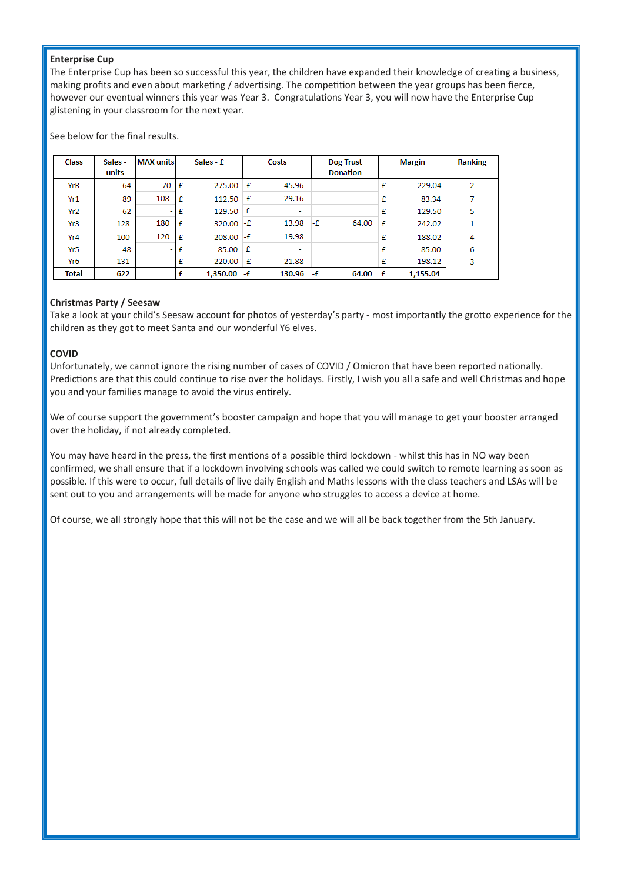### **Enterprise Cup**

The Enterprise Cup has been so successful this year, the children have expanded their knowledge of creating a business, making profits and even about marketing / advertising. The competition between the year groups has been fierce, however our eventual winners this year was Year 3. Congratulations Year 3, you will now have the Enterprise Cup glistening in your classroom for the next year.

See below for the final results.

| <b>Class</b>    | Sales -<br>units | <b>MAX units</b> |   | Sales - $f$    | Costs        |    | <b>Dog Trust</b><br><b>Donation</b> |   | <b>Margin</b> | <b>Ranking</b> |
|-----------------|------------------|------------------|---|----------------|--------------|----|-------------------------------------|---|---------------|----------------|
| YrR             | 64               | 70               | £ | $275.00$ -£    | 45.96        |    |                                     | £ | 229.04        | 2              |
| Yr1             | 89               | 108              | £ | $112.50$ -£    | 29.16        |    |                                     | £ | 83.34         |                |
| Yr <sub>2</sub> | 62               | ٠                | £ |                | ٠            |    |                                     | £ | 129.50        | 5              |
| Yr3             | 128              | 180              | £ | $320.00$ -£    | 13.98        | -£ | 64.00                               | £ | 242.02        | 1              |
| Yr4             | 100              | 120              | £ | $208.00 - E$   | 19.98        |    |                                     | £ | 188.02        | 4              |
| Yr5             | 48               | ۰                | £ | $85.00$ £      | ۰            |    |                                     | £ | 85.00         | 6              |
| Yr <sub>6</sub> | 131              | ۰                | £ | $220.00$ -£    | 21.88        |    |                                     | £ | 198.12        | 3              |
| <b>Total</b>    | 622              |                  | £ | $1,350.00 - f$ | $130.96 - f$ |    | 64.00                               | £ | 1,155.04      |                |

#### **Christmas Party / Seesaw**

Take a look at your child's Seesaw account for photos of yesterday's party - most importantly the grotto experience for the children as they got to meet Santa and our wonderful Y6 elves.

### **COVID**

Unfortunately, we cannot ignore the rising number of cases of COVID / Omicron that have been reported nationally. Predictions are that this could continue to rise over the holidays. Firstly, I wish you all a safe and well Christmas and hope you and your families manage to avoid the virus entirely.

We of course support the government's booster campaign and hope that you will manage to get your booster arranged over the holiday, if not already completed.

You may have heard in the press, the first mentions of a possible third lockdown - whilst this has in NO way been confirmed, we shall ensure that if a lockdown involving schools was called we could switch to remote learning as soon as possible. If this were to occur, full details of live daily English and Maths lessons with the class teachers and LSAs will be sent out to you and arrangements will be made for anyone who struggles to access a device at home.

Of course, we all strongly hope that this will not be the case and we will all be back together from the 5th January.